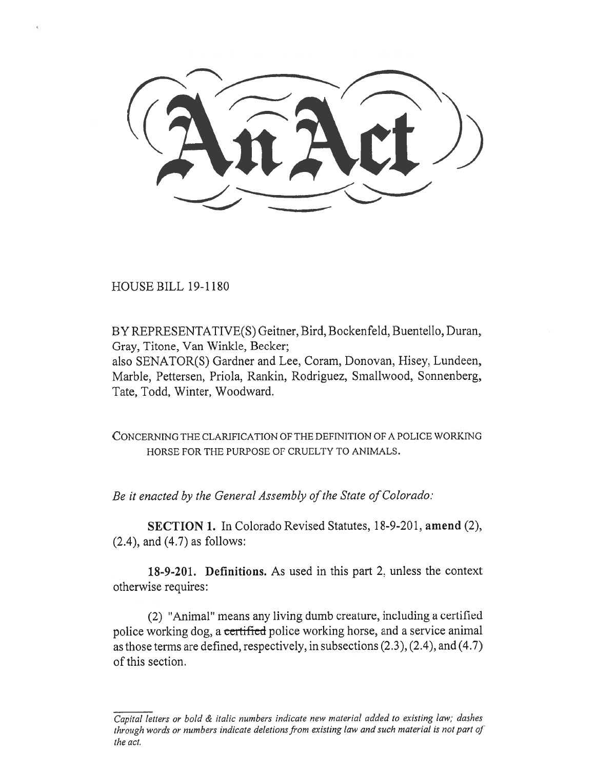HOUSE BILL 19-1180

BY REPRESENTATIVE(S) Geitner, Bird, Bockenfeld, Buentello, Duran, Gray, Titone, Van Winkle, Becker;

also SENATOR(S) Gardner and Lee, Coram, Donovan, Hisey, Lundeen, Marble, Pettersen, Priola, Rankin, Rodriguez, Smallwood, Sonnenberg, Tate, Todd, Winter, Woodward.

CONCERNING THE CLARIFICATION OF THE DEFINITION OF A POLICE WORKING HORSE FOR THE PURPOSE OF CRUELTY TO ANIMALS.

*Be it enacted by the General Assembly of the State of Colorado:* 

**SECTION 1.** In Colorado Revised Statutes, 18-9-201, **amend** (2), (2.4), and (4.7) as follows:

**18-9-201. Definitions.** As used in this part 2, unless the context otherwise requires:

(2) "Animal" means any living dumb creature, including a certified police working dog, a certified police working horse, and a service animal as those terms are defined, respectively, in subsections (2.3), (2.4), and (4.7) of this section.

*Capital letters or bold & italic numbers indicate new material added to existing law; dashes through words or numbers indicate deletions from existing law and such material is not part of the act.*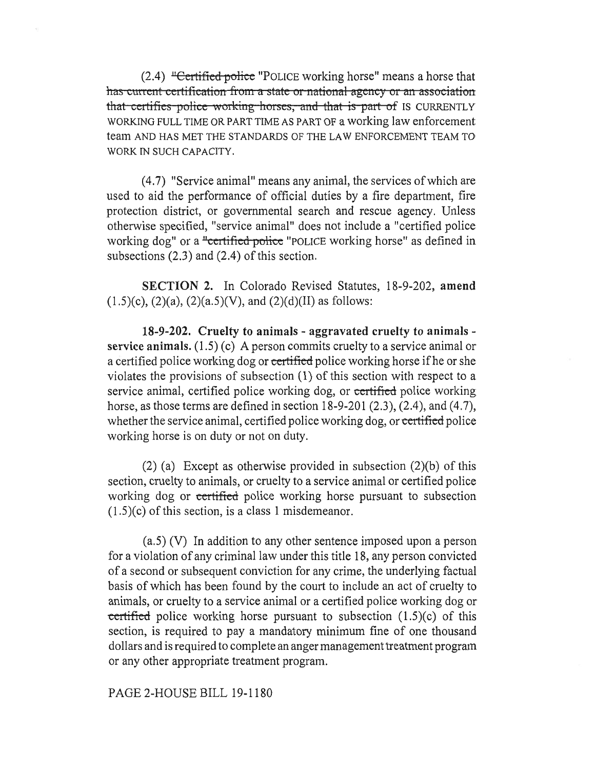$(2.4)$  "Certified police "POLICE working horse" means a horse that has-current-certification from a state or national agency or an association that-certifies-police-working-horses, and that is part of IS CURRENTLY WORKING FULL TIME OR PART TIME AS PART OF a working law enforcement team AND HAS MET THE STANDARDS OF THE LAW ENFORCEMENT TEAM TO WORK IN SUCH CAPACITY.

(4.7) "Service animal" means any animal, the services of which are used to aid the performance of official duties by a fire department, fire protection district, or governmental search and rescue agency. Unless otherwise specified, "service animal" does not include a "certified police working dog" or a "certified police "POLICE working horse" as defined in subsections (2.3) and (2.4) of this section.

**SECTION 2.** In Colorado Revised Statutes, 18-9-202, **amend**   $(1.5)(c)$ ,  $(2)(a)$ ,  $(2)(a.5)(V)$ , and  $(2)(d)(II)$  as follows:

**18-9-202. Cruelty to animals - aggravated cruelty to animals service animals.** (1.5) (c) A person commits cruelty to a service animal or a certified police working dog or certified police working horse if he or she violates the provisions of subsection (1) of this section with respect to a service animal, certified police working dog, or certified police working horse, as those terms are defined in section 18-9-201 (2.3), (2.4), and (4.7), whether the service animal, certified police working dog, or certified police working horse is on duty or not on duty.

(2) (a) Except as otherwise provided in subsection (2)(b) of this section, cruelty to animals, or cruelty to a service animal or certified police working dog or certified police working horse pursuant to subsection  $(1.5)(c)$  of this section, is a class 1 misdemeanor.

(a.5) (V) In addition to any other sentence imposed upon a person for a violation of any criminal law under this title 18, any person convicted of a second or subsequent conviction for any crime, the underlying factual basis of which has been found by the court to include an act of cruelty to animals, or cruelty to a service animal or a certified police working dog or certified police working horse pursuant to subsection  $(1.5)(c)$  of this section, is required to pay a mandatory minimum fine of one thousand dollars and is required to complete an anger management treatment program or any other appropriate treatment program.

PAGE 2-HOUSE BILL 19-1180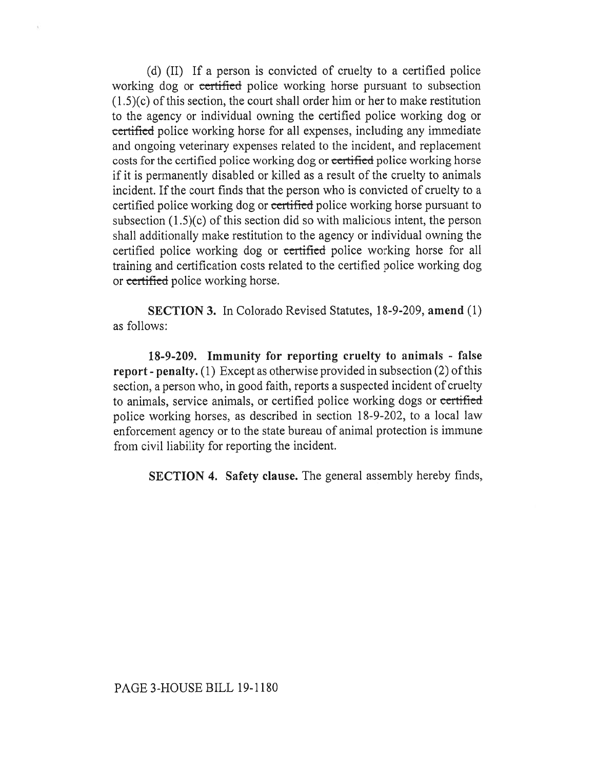(d) (II) If a person is convicted of cruelty to a certified police working dog or certified police working horse pursuant to subsection (1.5)(c) of this section, the court shall order him or her to make restitution to the agency or individual owning the certified police working dog or certified police working horse for all expenses, including any immediate and ongoing veterinary expenses related to the incident, and replacement costs for the certified police working dog or certified police working horse if it is permanently disabled or killed as a result of the cruelty to animals incident. If the court finds that the person who is convicted of cruelty to a certified police working dog or certified police working horse pursuant to subsection (1.5)(c) of this section did so with malicious intent, the person shall additionally make restitution to the agency or individual owning the certified police working dog or certified police working horse for all training and certification costs related to the certified police working dog or certified police working horse.

**SECTION 3.** In Colorado Revised Statutes, 18-9-209, **amend** (1) as follows:

**18-9-209. Immunity for reporting cruelty to animals - false report - penalty.** (1) Except as otherwise provided in subsection (2) of this section, a person who, in good faith, reports a suspected incident of cruelty to animals, service animals, or certified police working dogs or certified police working horses, as described in section 18-9-202, to a local law enforcement agency or to the state bureau of animal protection is immune from civil liability for reporting the incident.

**SECTION 4. Safety clause.** The general assembly hereby finds,